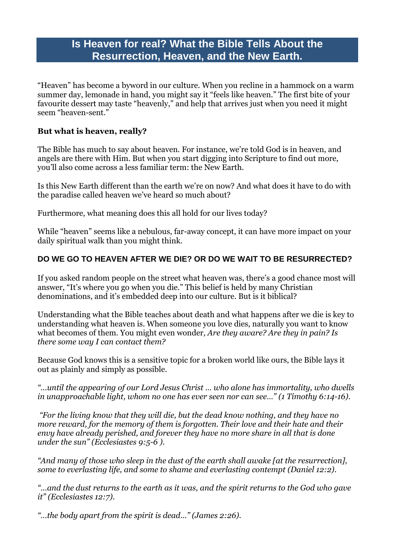# **Is Heaven for real? What the Bible Tells About the Resurrection, Heaven, and the New Earth.**

"Heaven" has become a byword in our culture. When you recline in a hammock on a warm summer day, lemonade in hand, you might say it "feels like heaven." The first bite of your favourite dessert may taste "heavenly," and help that arrives just when you need it might seem "heaven-sent."

#### **But what is heaven, really?**

The Bible has much to say about heaven. For instance, we're told God is in heaven, and angels are there with Him. But when you start digging into Scripture to find out more, you'll also come across a less familiar term: the New Earth.

Is this New Earth different than the earth we're on now? And what does it have to do with the paradise called heaven we've heard so much about?

Furthermore, what meaning does this all hold for our lives today?

While "heaven" seems like a nebulous, far-away concept, it can have more impact on your daily spiritual walk than you might think.

## **DO WE GO TO HEAVEN AFTER WE DIE? OR DO WE WAIT TO BE RESURRECTED?**

If you asked random people on the street what heaven was, there's a good chance most will answer, "It's where you go when you die." This belief is held by many Christian denominations, and it's embedded deep into our culture. But is it biblical?

Understanding what the Bible teaches about death and what happens after we die is key to understanding what heaven is. When someone you love dies, naturally you want to know what becomes of them. You might even wonder, *Are they aware? Are they in pain? Is there some way I can contact them?*

Because God knows this is a sensitive topic for a broken world like ours, the Bible lays it out as plainly and simply as possible.

*"…until the appearing of our Lord Jesus Christ … who alone has immortality, who dwells in unapproachable light, whom no one has ever seen nor can see…" (1 [Timothy](https://biblia.com/bible/esv/1%20Tim%206.14-16) 6:14-16).*

*"For the living know that they will die, but the dead know nothing, and they have no more reward, for the memory of them is forgotten. Their love and their hate and their envy have already perished, and forever they have no more share in all that is done under the sun" [\(Ecclesiastes](https://biblia.com/bible/esv/Eccles%209.5-6) 9:5-6 ).*

*"And many of those who sleep in the dust of the earth shall awake [at the resurrection], some to everlasting life, and some to shame and everlasting contempt [\(Daniel](https://biblia.com/bible/esv/Dan%2012.2) 12:2).*

*"…and the dust returns to the earth as it was, and the spirit returns to the God who gave it" [\(Ecclesiastes](https://biblia.com/bible/esv/Eccles%2012.7) 12:7).*

*"…the body apart from the spirit is dead…" [\(James](https://biblia.com/bible/esv/James%202.26) 2:26).*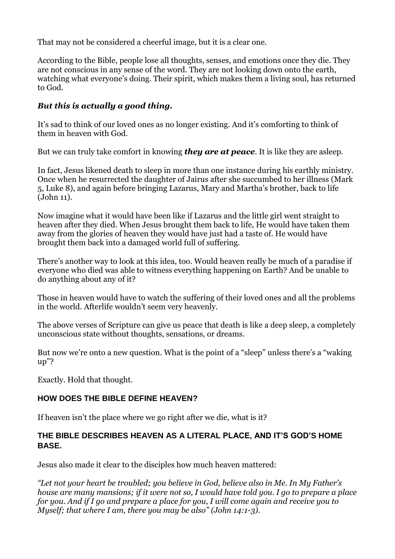That may not be considered a cheerful image, but it is a clear one.

According to the Bible, people lose all thoughts, senses, and emotions once they die. They are not conscious in any sense of the word. They are not looking down onto the earth, watching what everyone's doing. Their spirit, which makes them a living soul, has returned to God.

## *But this is actually a good thing.*

It's sad to think of our loved ones as no longer existing. And it's comforting to think of them in heaven with God.

But we can truly take comfort in knowing *they are at peace*. It is like they are asleep.

In fact, Jesus likened death to sleep in more than one instance during his earthly ministry. Once when he resurrected the daughter of Jairus after she succumbed to her illness [\(Mark](https://biblia.com/bible/nkjv/Mark%205) [5,](https://biblia.com/bible/nkjv/Mark%205) [Luke](https://biblia.com/bible/nkjv/Luke%208) 8), and again before bringing Lazarus, Mary and Martha's brother, back to life [\(John](https://biblia.com/bible/nkjv/John%2011) 11).

Now imagine what it would have been like if Lazarus and the little girl went straight to heaven after they died. When Jesus brought them back to life, He would have taken them away from the glories of heaven they would have just had a taste of. He would have brought them back into a damaged world full of suffering.

There's another way to look at this idea, too. Would heaven really be much of a paradise if everyone who died was able to witness everything happening on Earth? And be unable to do anything about any of it?

Those in heaven would have to watch the suffering of their loved ones and all the problems in the world. Afterlife wouldn't seem very heavenly.

The above verses of Scripture can give us peace that death is like a deep sleep, a completely unconscious state without thoughts, sensations, or dreams.

But now we're onto a new question. What is the point of a "sleep" unless there's a "waking up"?

Exactly. Hold that thought.

## **HOW DOES THE BIBLE DEFINE HEAVEN?**

If heaven isn't the place where we go right after we die, what is it?

## **THE BIBLE DESCRIBES HEAVEN AS A LITERAL PLACE, AND IT'S GOD'S HOME BASE.**

Jesus also made it clear to the disciples how much heaven mattered:

*"Let not your heart be troubled; you believe in God, believe also in Me. In My Father's house are many mansions; if it were not so, I would have told you. I go to prepare a place for you. And if I go and prepare a place for you, I will come again and receive you to Myself; that where I am, there you may be also" (John [14:1-3\)](https://biblia.com/bible/nkjv/John%2014.1-3).*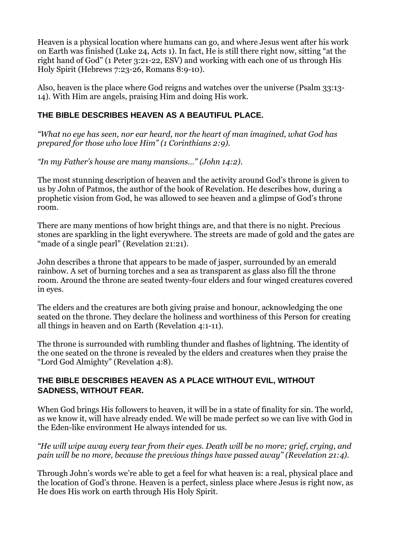Heaven is a physical location where humans can go, and where Jesus went after his work on Earth was finished [\(Luke](https://biblia.com/bible/nkjv/Luke%2024) 24, [Acts](https://biblia.com/bible/nkjv/Acts%201) 1). In fact, He is still there right now, sitting "at the right hand of God" (1 Peter [3:21-22,](https://biblia.com/bible/esv/1%20Pet%203.21-22) ESV) and working with each one of us through His Holy Spirit [\(Hebrews](https://biblia.com/bible/nkjv/Heb%207.23-26) 7:23-26, [Romans](https://biblia.com/bible/nkjv/Rom%208.9-10) 8:9-10).

Also, heaven is the place where God reigns and watches over the universe [\(Psalm](https://biblia.com/bible/nkjv/Ps%2033.13-14) 33:13- [14\)](https://biblia.com/bible/nkjv/Ps%2033.13-14). With Him are angels, praising Him and doing His work.

### **THE BIBLE DESCRIBES HEAVEN AS A BEAUTIFUL PLACE.**

*"What no eye has seen, nor ear heard, nor the heart of man imagined, what God has prepared for those who love Him" (1 [Corinthians](https://biblia.com/bible/esv/1%20Cor%202.9) 2:9).*

*"In my Father's house are many mansions…" [\(John](https://biblia.com/bible/esv/John%2014.2) 14:2).*

The most stunning description of heaven and the activity around God's throne is given to us by John of Patmos, the author of the book of Revelation. He describes how, during a prophetic vision from God, he was allowed to see heaven and a glimpse of God's throne room.

There are many mentions of how bright things are, and that there is no night. Precious stones are sparkling in the light everywhere. The streets are made of gold and the gates are "made of a single pearl" [\(Revelation](https://biblia.com/bible/nkjv/Rev%2021.21) 21:21).

John describes a throne that appears to be made of jasper, surrounded by an emerald rainbow. A set of burning torches and a sea as transparent as glass also fill the throne room. Around the throne are seated twenty-four elders and four winged creatures covered in eyes.

The elders and the creatures are both giving praise and honour, acknowledging the one seated on the throne. They declare the holiness and worthiness of this Person for creating all things in heaven and on Earth [\(Revelation](https://biblia.com/bible/nkjv/Rev%204.1-11) 4:1-11).

The throne is surrounded with rumbling thunder and flashes of lightning. The identity of the one seated on the throne is revealed by the elders and creatures when they praise the "Lord God Almighty" [\(Revelation](https://biblia.com/bible/nkjv/Rev%204.8) 4:8).

#### **THE BIBLE DESCRIBES HEAVEN AS A PLACE WITHOUT EVIL, WITHOUT SADNESS, WITHOUT FEAR.**

When God brings His followers to heaven, it will be in a state of finality for sin. The world, as we know it, will have already ended. We will be made perfect so we can live with God in the Eden-like environment He always intended for us.

#### *"He will wipe away every tear from their eyes. Death will be no more; grief, crying, and pain will be no more, because the previous things have passed away" [\(Revelation](https://biblia.com/bible/csb/Rev%2021.4) 21:4).*

Through John's words we're able to get a feel for what heaven is: a real, physical place and the location of God's throne. Heaven is a perfect, sinless place where Jesus is right now, as He does His work on earth through His Holy Spirit.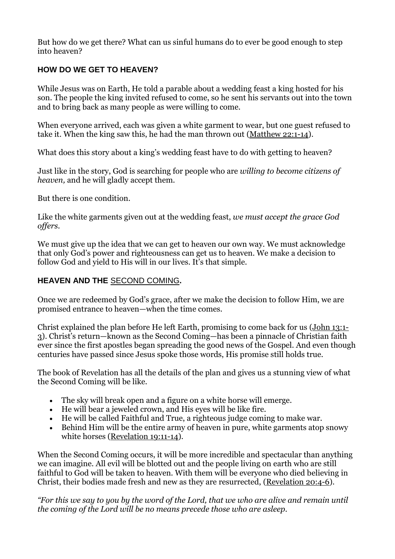But how do we get there? What can us sinful humans do to ever be good enough to step into heaven?

## **HOW DO WE GET TO HEAVEN?**

While Jesus was on Earth, He told a parable about a wedding feast a king hosted for his son. The people the king invited refused to come, so he sent his servants out into the town and to bring back as many people as were willing to come.

When everyone arrived, each was given a white garment to wear, but one guest refused to take it. When the king saw this, he had the man thrown out [\(Matthew](https://biblia.com/bible/nkjv/Matt%2022.1-14) 22:1-14).

What does this story about a king's wedding feast have to do with getting to heaven?

Just like in the story, God is searching for people who are *willing to become citizens of heaven,* and he will gladly accept them.

But there is one condition.

Like the white garments given out at the wedding feast, *we must accept the grace God offers.*

We must give up the idea that we can get to heaven our own way. We must acknowledge that only God's power and righteousness can get us to heaven. We make a decision to follow God and yield to His will in our lives. It's that simple.

#### **HEAVEN AND THE** [SECOND](https://www.adventist.org/beliefs/fundamental-beliefs/restoration/the-second-coming-of-christ/) COMING**.**

Once we are redeemed by God's grace, after we make the decision to follow Him, we are promised entrance to heaven—when the time comes.

Christ explained the plan before He left Earth, promising to come back for us [\(John](https://biblia.com/bible/nkjv/John%2013.1-3) 13:1- [3](https://biblia.com/bible/nkjv/John%2013.1-3)). Christ's return—known as the Second Coming—has been a pinnacle of Christian faith ever since the first apostles began spreading the good news of the Gospel. And even though centuries have passed since Jesus spoke those words, His promise still holds true.

The book of Revelation has all the details of the plan and gives us a stunning view of what the Second Coming will be like.

- The sky will break open and a figure on a white horse will emerge.
- He will bear a jeweled crown, and His eyes will be like fire.
- He will be called Faithful and True, a righteous judge coming to make war.
- Behind Him will be the entire army of heaven in pure, white garments atop snowy white horses [\(Revelation](https://biblia.com/bible/nkjv/Rev%2019.11-14) 19:11-14).

When the Second Coming occurs, it will be more incredible and spectacular than anything we can imagine. All evil will be blotted out and the people living on earth who are still faithful to God will be taken to heaven. With them will be everyone who died believing in Christ, their bodies made fresh and new as they are resurrected, [\(Revelation](https://biblia.com/bible/nkjv/Rev%2020.4-6) 20:4-6).

*"For this we say to you by the word of the Lord, that we who are alive and remain until the coming of the Lord will be no means precede those who are asleep.*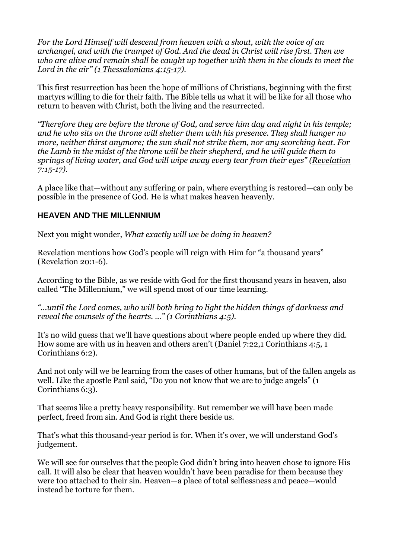*For the Lord Himself will descend from heaven with a shout, with the voice of an archangel, and with the trumpet of God. And the dead in Christ will rise first. Then we who are alive and remain shall be caught up together with them in the clouds to meet the Lord in the air" (1 [Thessalonians](https://biblia.com/bible/nkjv/1%20Thess%204.15-17) 4:15-17).*

This first resurrection has been the hope of millions of Christians, beginning with the first martyrs willing to die for their faith. The Bible tells us what it will be like for all those who return to heaven with Christ, both the living and the resurrected.

*"Therefore they are before the throne of God, and serve him day and night in his temple; and he who sits on the throne will shelter them with his presence. They shall hunger no more, neither thirst anymore; the sun shall not strike them, nor any scorching heat. For the Lamb in the midst of the throne will be their shepherd, and he will guide them to springs of living water, and God will wipe away every tear from their eyes" [\(Revelation](https://biblia.com/bible/esv/Rev%207.15-17) [7:15-17\)](https://biblia.com/bible/esv/Rev%207.15-17).*

A place like that—without any suffering or pain, where everything is restored—can only be possible in the presence of God. He is what makes heaven heavenly.

#### **HEAVEN AND THE MILLENNIUM**

Next you might wonder, *What exactly will we be doing in heaven?*

Revelation mentions how God's people will reign with Him for "a thousand years" [\(Revelation](https://biblia.com/bible/nkjv/Rev%2020.1-6) 20:1-6).

According to the Bible, as we reside with God for the first thousand years in heaven, also called "The Millennium," we will spend most of our time learning.

*"…until the Lord comes, who will both bring to light the hidden things of darkness and reveal the counsels of the hearts. …" (1 [Corinthians](https://biblia.com/bible/nkjv/1%20Cor%204.5) 4:5).*

It's no wild guess that we'll have questions about where people ended up where they did. How some are with us in heaven and others aren't [\(Daniel](https://biblia.com/bible/nkjv/Dan%207.22) 7:22,1 [Corinthians](https://biblia.com/bible/nkjv/1%20Cor%204.5) 4:5, [1](https://biblia.com/bible/nkjv/1%20Cor%206.2) [Corinthians](https://biblia.com/bible/nkjv/1%20Cor%206.2) 6:2).

And not only will we be learning from the cases of other humans, but of the fallen angels as well. Like the apostle Paul said, "Do you not know that we are to judge angels" [\(1](https://biblia.com/bible/nkjv/1%20Cor%206.3)) [Corinthians](https://biblia.com/bible/nkjv/1%20Cor%206.3) 6:3).

That seems like a pretty heavy responsibility. But remember we will have been made perfect, freed from sin. And God is right there beside us.

That's what this thousand-year period is for. When it's over, we will understand God's judgement.

We will see for ourselves that the people God didn't bring into heaven chose to ignore His call. It will also be clear that heaven wouldn't have been paradise for them because they were too attached to their sin. Heaven—a place of total selflessness and peace—would instead be torture for them.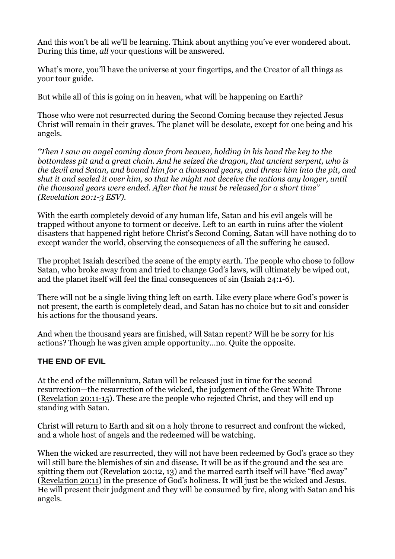And this won't be all we'll be learning. Think about anything you've ever wondered about. During this time, *all* your questions will be answered.

What's more, you'll have the universe at your fingertips, and the Creator of all things as your tour guide.

But while all of this is going on in heaven, what will be happening on Earth?

Those who were not resurrected during the Second Coming because they rejected Jesus Christ will remain in their graves. The planet will be desolate, except for one being and his angels.

*"Then I saw an angel coming down from heaven, holding in his hand the key to the bottomless pit and a great chain. And he seized the dragon, that ancient serpent, who is the devil and Satan, and bound him for a thousand years, and threw him into the pit, and shut it and sealed it over him, so that he might not deceive the nations any longer, until the thousand years were ended. After that he must be released for a short time" [\(Revelation](https://biblia.com/bible/esv/Rev%2020.1-3) 20:1-3 ESV).*

With the earth completely devoid of any human life, Satan and his evil angels will be trapped without anyone to torment or deceive. Left to an earth in ruins after the violent disasters that happened right before Christ's Second Coming, Satan will have nothing do to except wander the world, observing the consequences of all the suffering he caused.

The prophet Isaiah described the scene of the empty earth. The people who chose to follow Satan, who broke away from and tried to change God's laws, will ultimately be wiped out, and the planet itself will feel the final consequences of sin (Isaiah [24:1-6\)](https://biblia.com/bible/nkjv/Isa%2024.1-6).

There will not be a single living thing left on earth. Like every place where God's power is not present, the earth is completely dead, and Satan has no choice but to sit and consider his actions for the thousand years.

And when the thousand years are finished, will Satan repent? Will he be sorry for his actions? Though he was given ample opportunity…no. Quite the opposite.

## **THE END OF EVIL**

At the end of the millennium, Satan will be released just in time for the second resurrection—the resurrection of the wicked, the judgement of the Great White Throne [\(Revelation](https://biblia.com/bible/nkjv/Rev%2020.11-15) 20:11-15). These are the people who rejected Christ, and they will end up standing with Satan.

Christ will return to Earth and sit on a holy throne to resurrect and confront the wicked, and a whole host of angels and the redeemed will be watching.

When the wicked are resurrected, they will not have been redeemed by God's grace so they will still bare the blemishes of sin and disease. It will be as if the ground and the sea are spitting them out [\(Revelation](https://biblia.com/bible/nkjv/Rev%2020.12) 20:12, [13](https://biblia.com/bible/nkjv/Revelation%2020.13)) and the marred earth itself will have "fled away" [\(Revelation](https://biblia.com/bible/nkjv/Rev%2020.11) 20:11) in the presence of God's holiness. It will just be the wicked and Jesus. He will present their judgment and they will be consumed by fire, along with Satan and his angels.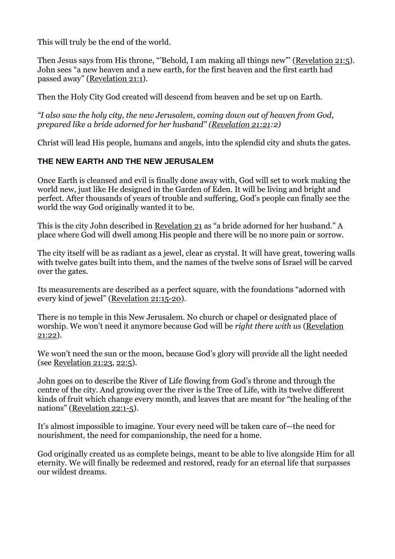This will truly be the end of the world.

Then Jesus says from His throne, "'Behold, I am making all things new"' [\(Revelation](https://biblia.com/bible/nkjv/Rev%2021.5) 21:5). John sees "a new heaven and a new earth, for the first heaven and the first earth had passed away" [\(Revelation](https://biblia.com/bible/esv/Rev%2021.1) 21:1).

Then the Holy City God created will descend from heaven and be set up on Earth.

*"I also saw the holy city, the new Jerusalem, coming down out of heaven from God, prepared like a bride adorned for her husband" [\(Revelation](https://biblia.com/bible/nkjv/Rev%2021.21) 21:21:2)*

Christ will lead His people, humans and angels, into the splendid city and shuts the gates.

## **THE NEW EARTH AND THE NEW JERUSALEM**

Once Earth is cleansed and evil is finally done away with, God will set to work making the world new, just like He designed in the Garden of Eden. It will be living and bright and perfect. After thousands of years of trouble and suffering, God's people can finally see the world the way God originally wanted it to be.

This is the city John described in [Revelation](https://biblia.com/bible/nkjv/Rev%2021) 21 as "a bride adorned for her husband." A place where God will dwell among His people and there will be no more pain or sorrow.

The city itself will be as radiant as a jewel, clear as crystal. It will have great, towering walls with twelve gates built into them, and the names of the twelve sons of Israel will be carved over the gates.

Its measurements are described as a perfect square, with the foundations "adorned with every kind of jewel" [\(Revelation](https://biblia.com/bible/csb/Rev%2021.15-20) 21:15-20).

There is no temple in this New Jerusalem. No church or chapel or designated place of worship. We won't need it anymore because God will be *right there with us* [\(Revelation](https://biblia.com/bible/nkjv/Rev%2021.22) [21:22\)](https://biblia.com/bible/nkjv/Rev%2021.22).

We won't need the sun or the moon, because God's glory will provide all the light needed (see [Revelation](https://biblia.com/bible/nkjv/Rev%2021.23) 21:23, [22:5\)](https://biblia.com/bible/nkjv/Revelation%2022.5).

John goes on to describe the River of Life flowing from God's throne and through the centre of the city. And growing over the river is the Tree of Life, with its twelve different kinds of fruit which change every month, and leaves that are meant for "the healing of the nations" [\(Revelation](https://biblia.com/bible/csb/Rev%2022.1-5) 22:1-5).

It's almost impossible to imagine. Your every need will be taken care of—the need for nourishment, the need for companionship, the need for a home.

God originally created us as complete beings, meant to be able to live alongside Him for all eternity. We will finally be redeemed and restored, ready for an eternal life that surpasses our wildest dreams.